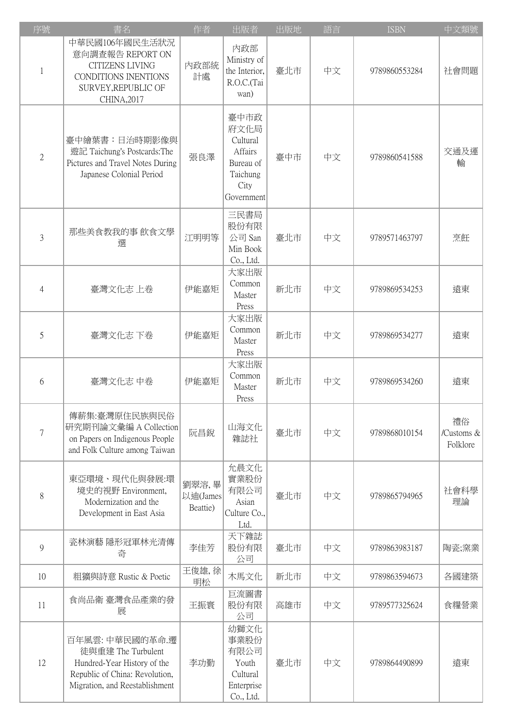| 序號             | 書名                                                                                                                                      | 作者                            | 出版者                                                                                | 出版地 | 語言 | <b>ISBN</b>   | 中文類號                         |
|----------------|-----------------------------------------------------------------------------------------------------------------------------------------|-------------------------------|------------------------------------------------------------------------------------|-----|----|---------------|------------------------------|
| $\mathbf{1}$   | 中華民國106年國民生活狀況<br>意向調查報告 REPORT ON<br><b>CITIZENS LIVING</b><br>CONDITIONS INENTIONS<br>SURVEY, REPUBLIC OF<br>CHINA, 2017              | 内政部統<br>計處                    | 內政部<br>Ministry of<br>the Interior,<br>R.O.C.(Tai<br>wan)                          | 臺北市 | 中文 | 9789860553284 | 社會問題                         |
| $\mathbf{2}$   | 臺中繪葉書:日治時期影像與<br>遊記 Taichung's Postcards: The<br>Pictures and Travel Notes During<br>Japanese Colonial Period                           | 張良澤                           | 臺中市政<br>府文化局<br>Cultural<br>Affairs<br>Bureau of<br>Taichung<br>City<br>Government | 臺中市 | 中文 | 9789860541588 | 交通及運<br>輸                    |
| $\overline{3}$ | 那些美食教我的事 飲食文學<br>選                                                                                                                      | 江明明等                          | 三民書局<br>股份有限<br>公司 San<br>Min Book<br>Co., Ltd.                                    | 臺北市 | 中文 | 9789571463797 | 烹飪                           |
| 4              | 臺灣文化志 上卷                                                                                                                                | 伊能嘉矩                          | 大家出版<br>Common<br>Master<br>Press                                                  | 新北市 | 中文 | 9789869534253 | 遠東                           |
| 5              | 臺灣文化志下卷                                                                                                                                 | 伊能嘉矩                          | 大家出版<br>Common<br>Master<br>Press                                                  | 新北市 | 中文 | 9789869534277 | 遠東                           |
| 6              | 臺灣文化志 中卷                                                                                                                                | 伊能嘉矩                          | 大家出版<br>Common<br>Master<br>Press                                                  | 新北市 | 中文 | 9789869534260 | 遠東                           |
| 7              | 傳薪集:臺灣原住民族與民俗<br>研究期刊論文彙編 A Collection<br>on Papers on Indigenous People<br>and Folk Culture among Taiwan                               | 阮昌銳                           | 山海文化<br>雜誌社                                                                        | 臺北市 | 中文 | 9789868010154 | 禮俗<br>/Customs &<br>Folklore |
| 8              | 東亞環境、現代化與發展:環<br>境史的視野 Environment,<br>Modernization and the<br>Development in East Asia                                                | 劉翠溶,畢<br>以迪(James<br>Beattie) | 允晨文化<br>實業股份<br>有限公司<br>Asian<br>Culture Co.,<br>Ltd.                              | 臺北市 | 中文 | 9789865794965 | 社會科學<br>理論                   |
| 9              | 瓷林演藝 隱形冠軍林光清傳<br>奇                                                                                                                      | 李佳芳                           | 天下雜誌<br>股份有限<br>公司                                                                 | 臺北市 | 中文 | 9789863983187 | 陶瓷;窯業                        |
| 10             | 粗獷與詩意 Rustic & Poetic                                                                                                                   | 王俊雄,徐<br>明松                   | 木馬文化                                                                               | 新北市 | 中文 | 9789863594673 | 各國建築                         |
| 11             | 食尚品衛 臺灣食品產業的發<br>展                                                                                                                      | 王振寰                           | 巨流圖書<br>股份有限<br>公司                                                                 | 高雄市 | 中文 | 9789577325624 | 食糧營業                         |
| 12             | 百年風雲:中華民國的革命.遷<br>徒與重建 The Turbulent<br>Hundred-Year History of the<br>Republic of China: Revolution,<br>Migration, and Reestablishment | 李功勤                           | 幼獅文化<br>事業股份<br>有限公司<br>Youth<br>Cultural<br>Enterprise<br>Co., Ltd.               | 臺北市 | 中文 | 9789864490899 | 遠東                           |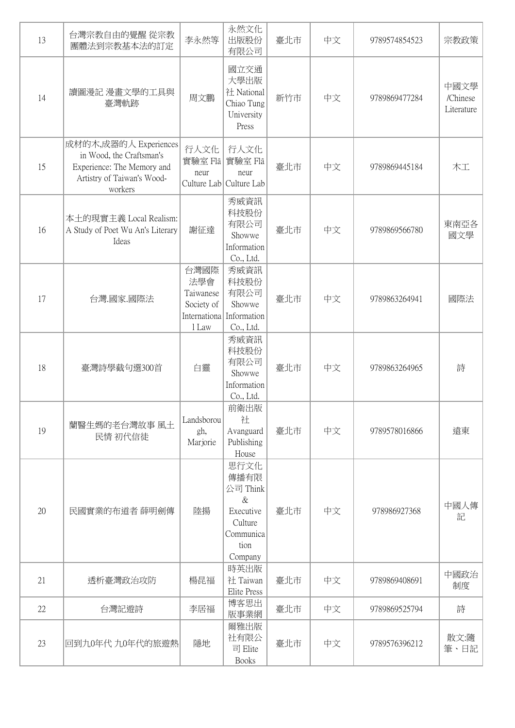| 13 | 台灣宗教自由的覺醒 從宗教<br>團體法到宗教基本法的訂定                                                                                            | 李永然等                                                            | 永然文化<br>出版股份<br>有限公司                                                                     | 臺北市 | 中文 | 9789574854523 | 宗教政策                           |
|----|--------------------------------------------------------------------------------------------------------------------------|-----------------------------------------------------------------|------------------------------------------------------------------------------------------|-----|----|---------------|--------------------------------|
| 14 | 讀圖漫記 漫畫文學的工具與<br>臺灣軌跡                                                                                                    | 周文鵬                                                             | 國立交通<br>大學出版<br>社 National<br>Chiao Tung<br>University<br>Press                          | 新竹市 | 中文 | 9789869477284 | 中國文學<br>/Chinese<br>Literature |
| 15 | 成材的木,成器的人 Experiences<br>in Wood, the Craftsman's<br>Experience: The Memory and<br>Artistry of Taiwan's Wood-<br>workers | 行人文化<br>實驗室 Flâ<br>neur                                         | 行人文化<br>實驗室 Flâ<br>neur<br>Culture Lab Culture Lab                                       | 臺北市 | 中文 | 9789869445184 | 木工                             |
| 16 | 本土的現實主義 Local Realism:<br>A Study of Poet Wu An's Literary<br>Ideas                                                      | 謝征達                                                             | 秀威資訊<br>科技股份<br>有限公司<br>Showwe<br>Information<br>Co., Ltd.                               | 臺北市 | 中文 | 9789869566780 | 東南亞各<br>國文學                    |
| 17 | 台灣.國家.國際法                                                                                                                | 台灣國際<br>法學會<br>Taiwanese<br>Society of<br>Internationa<br>1 Law | 秀威資訊<br>科技股份<br>有限公司<br>Showwe<br>Information<br>Co., Ltd.                               | 臺北市 | 中文 | 9789863264941 | 國際法                            |
| 18 | 臺灣詩學截句選300首                                                                                                              | 白靈                                                              | 秀威資訊<br>科技股份<br>有限公司<br>Showwe<br>Information<br>Co., Ltd.                               | 臺北市 | 中文 | 9789863264965 | 詩                              |
| 19 | 蘭醫生媽的老台灣故事 風土<br>民情 初代信徒                                                                                                 | Landsborou<br>gh,<br>Marjorie                                   | 前衛出版<br>社<br>Avanguard<br>Publishing<br>House                                            | 臺北市 | 中文 | 9789578016866 | 遠東                             |
| 20 | 民國實業的布道者 薛明劍傳                                                                                                            | 陸揚                                                              | 思行文化<br>傳播有限<br>公司 Think<br>$\&$<br>Executive<br>Culture<br>Communica<br>tion<br>Company | 臺北市 | 中文 | 978986927368  | 中國人傳<br>記                      |
| 21 | 透析臺灣政治攻防                                                                                                                 | 楊昆福                                                             | 時英出版<br>社 Taiwan<br>Elite Press                                                          | 臺北市 | 中文 | 9789869408691 | 中國政治<br>制度                     |
| 22 | 台灣記遊詩                                                                                                                    | 李居福                                                             | 博客思出<br>版事業網                                                                             | 臺北市 | 中文 | 9789869525794 | 詩                              |
| 23 | 回到九0年代九0年代的旅遊熱                                                                                                           | 隱地                                                              | 爾雅出版<br>社有限公<br>司 Elite<br><b>Books</b>                                                  | 臺北市 | 中文 | 9789576396212 | 散文:隨<br>筆、日記                   |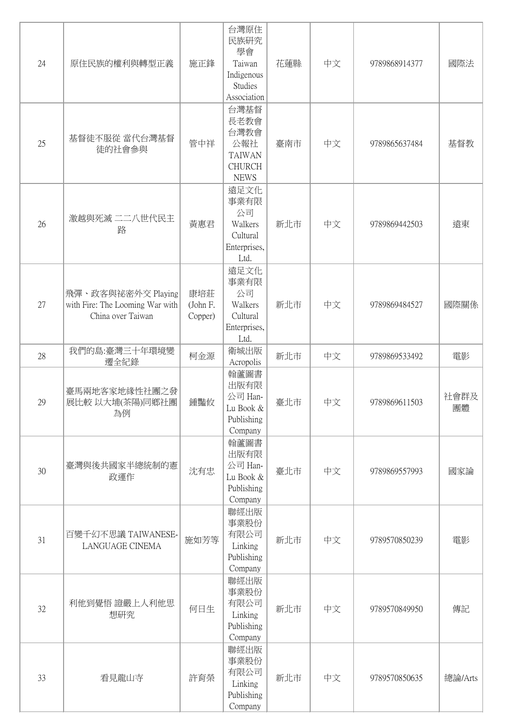| 24 | 原住民族的權利與轉型正義                                                               | 施正鋒                        | 台灣原住<br>民族研究<br>學會<br>Taiwan<br>Indigenous<br>Studies<br>Association         | 花蓮縣 | 中文 | 9789868914377 | 國際法        |
|----|----------------------------------------------------------------------------|----------------------------|------------------------------------------------------------------------------|-----|----|---------------|------------|
| 25 | 基督徒不服從 當代台灣基督<br>徒的社會參與                                                    | 管中祥                        | 台灣基督<br>長老教會<br>台灣教會<br>公報社<br><b>TAIWAN</b><br><b>CHURCH</b><br><b>NEWS</b> | 臺南市 | 中文 | 9789865637484 | 基督教        |
| 26 | 激越與死滅二二八世代民主<br>路                                                          | 黃惠君                        | 遠足文化<br>事業有限<br>公司<br>Walkers<br>Cultural<br>Enterprises,<br>Ltd.            | 新北市 | 中文 | 9789869442503 | 遠東         |
| 27 | 飛彈、政客與祕密外交 Playing<br>with Fire: The Looming War with<br>China over Taiwan | 康培莊<br>(John F.<br>Copper) | 遠足文化<br>事業有限<br>公司<br>Walkers<br>Cultural<br>Enterprises,<br>Ltd.            | 新北市 | 中文 | 9789869484527 | 國際關係       |
| 28 | 我們的島:臺灣三十年環境變<br>遷全紀錄                                                      | 柯金源                        | 衛城出版<br>Acropolis                                                            | 新北市 | 中文 | 9789869533492 | 電影         |
| 29 | 臺馬兩地客家地緣性社團之發<br>展比較 以大埔(茶陽)同鄉社團<br>為例                                     | 鍾豔攸                        | 翰蘆圖書<br>出版有限<br>公司 Han-<br>Lu Book $\&$<br>Publishing<br>Company             | 臺北市 | 中文 | 9789869611503 | 社會群及<br>團體 |
| 30 | 臺灣與後共國家半總統制的憲<br>政運作                                                       | 沈有忠                        | 翰蘆圖書<br>出版有限<br>公司 Han-<br>Lu Book &<br>Publishing<br>Company                | 臺北市 | 中文 | 9789869557993 | 國家論        |
| 31 | 百變千幻不思議 TAIWANESE-<br>LANGUAGE CINEMA                                      | 施如芳等                       | 聯經出版<br>事業股份<br>有限公司<br>Linking<br>Publishing<br>Company                     | 新北市 | 中文 | 9789570850239 | 電影         |
| 32 | 利他到覺悟 證嚴上人利他思<br>想研究                                                       | 何日生                        | 聯經出版<br>事業股份<br>有限公司<br>Linking<br>Publishing<br>Company                     | 新北市 | 中文 | 9789570849950 | 傳記         |
| 33 | 看見龍山寺                                                                      | 許育榮                        | 聯經出版<br>事業股份<br>有限公司<br>Linking<br>Publishing<br>Company                     | 新北市 | 中文 | 9789570850635 | 總論/Arts    |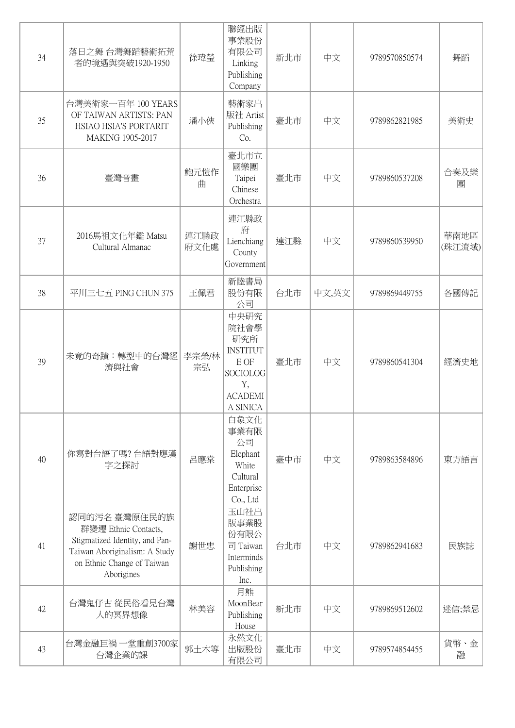| 34 | 落日之舞 台灣舞蹈藝術拓荒<br>者的境遇與突破1920-1950                                                                                                                   | 徐瑋瑩          | 聯經出版<br>事業股份<br>有限公司<br>Linking<br>Publishing<br>Company                                              | 新北市 | 中文    | 9789570850574 | 舞蹈             |
|----|-----------------------------------------------------------------------------------------------------------------------------------------------------|--------------|-------------------------------------------------------------------------------------------------------|-----|-------|---------------|----------------|
| 35 | 台灣美術家一百年 100 YEARS<br>OF TAIWAN ARTISTS: PAN<br>HSIAO HSIA'S PORTARIT<br>MAKING 1905-2017                                                           | 潘小俠          | 藝術家出<br>版社 Artist<br>Publishing<br>Co.                                                                | 臺北市 | 中文    | 9789862821985 | 美術史            |
| 36 | 臺灣音畫                                                                                                                                                | 鮑元愷作<br>曲    | 臺北市立<br>國樂團<br>Taipei<br>Chinese<br>Orchestra                                                         | 臺北市 | 中文    | 9789860537208 | 合奏及樂<br>團      |
| 37 | 2016馬祖文化年鑑 Matsu<br>Cultural Almanac                                                                                                                | 連江縣政<br>府文化處 | 連江縣政<br>府<br>Lienchiang<br>County<br>Government                                                       | 連江縣 | 中文    | 9789860539950 | 華南地區<br>(珠江流域) |
| 38 | 平川三七五 PING CHUN 375                                                                                                                                 | 王佩君          | 新陸書局<br>股份有限<br>公司                                                                                    | 台北市 | 中文,英文 | 9789869449755 | 各國傳記           |
| 39 | 未竟的奇蹟:轉型中的台灣經<br>濟與社會                                                                                                                               | 李宗榮/林<br>宗弘  | 中央研究<br>院社會學<br>研究所<br><b>INSTITUT</b><br>E OF<br><b>SOCIOLOG</b><br>Y,<br><b>ACADEMI</b><br>A SINICA | 臺北市 | 中文    | 9789860541304 | 經濟史地           |
| 40 | 你寫對台語了嗎? 台語對應漢<br>字之探討                                                                                                                              | 呂應棠          | 白象文化<br>事業有限<br>公司<br>Elephant<br>White<br>Cultural<br>Enterprise<br>Co., Ltd                         | 臺中市 | 中文    | 9789863584896 | 東方語言           |
| 41 | 認同的污名臺灣原住民的族<br>群變遷 Ethnic Contacts,<br>Stigmatized Identity, and Pan-<br>Taiwan Aboriginalism: A Study<br>on Ethnic Change of Taiwan<br>Aborigines | 謝世忠          | 玉山社出<br>版事業股<br>份有限公<br>司 Taiwan<br>Interminds<br>Publishing<br>Inc.                                  | 台北市 | 中文    | 9789862941683 | 民族誌            |
| 42 | 台灣鬼仔古 從民俗看見台灣<br>人的冥界想像                                                                                                                             | 林美容          | 月熊<br>MoonBear<br>Publishing<br>House                                                                 | 新北市 | 中文    | 9789869512602 | 迷信;禁忌          |
| 43 | 台灣金融巨禍 一堂重創3700家<br>台灣企業的課                                                                                                                          | 郭土木等         | 永然文化<br>出版股份<br>有限公司                                                                                  | 臺北市 | 中文    | 9789574854455 | 貨幣、金<br>融      |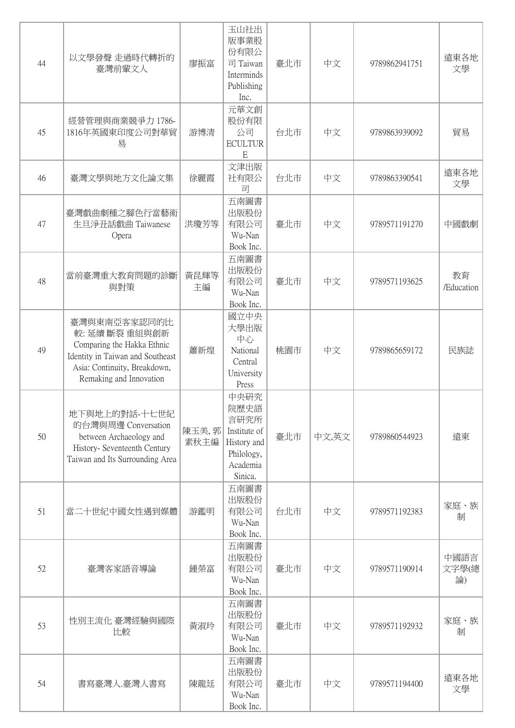| 44 | 以文學發聲 走過時代轉折的<br>臺灣前輩文人                                                                                                                                     | 廖振富            | 玉山社出<br>版事業股<br>份有限公<br>司 Taiwan<br>Interminds<br>Publishing<br>Inc.                     | 臺北市 | 中文    | 9789862941751 | 遠東各地<br>文學          |
|----|-------------------------------------------------------------------------------------------------------------------------------------------------------------|----------------|------------------------------------------------------------------------------------------|-----|-------|---------------|---------------------|
| 45 | 經營管理與商業競爭力 1786-<br>1816年英國東印度公司對華貿<br>易                                                                                                                    | 游博清            | 元華文創<br>股份有限<br>公司<br><b>ECULTUR</b><br>E                                                | 台北市 | 中文    | 9789863939092 | 貿易                  |
| 46 | 臺灣文學與地方文化論文集                                                                                                                                                | 徐麗霞            | 文津出版<br>社有限公<br>司                                                                        | 台北市 | 中文    | 9789863390541 | 遠東各地<br>文學          |
| 47 | 臺灣戲曲劇種之腳色行當藝術<br>生旦淨丑話戲曲 Taiwanese<br>Opera                                                                                                                 | 洪瓊芳等           | 五南圖書<br>出版股份<br>有限公司<br>Wu-Nan<br>Book Inc.                                              | 臺北市 | 中文    | 9789571191270 | 中國戲劇                |
| 48 | 當前臺灣重大教育問題的診斷<br>與對策                                                                                                                                        | 黃昆輝等<br>主編     | 五南圖書<br>出版股份<br>有限公司<br>Wu-Nan<br>Book Inc.                                              | 臺北市 | 中文    | 9789571193625 | 教育<br>/Education    |
| 49 | 臺灣與東南亞客家認同的比<br>較: 延續 斷裂 重組與創新<br>Comparing the Hakka Ethnic<br>Identity in Taiwan and Southeast<br>Asia: Continuity, Breakdown,<br>Remaking and Innovation | 蕭新煌            | 國立中央<br>大學出版<br>中心<br>National<br>Central<br>University<br>Press                         | 桃園市 | 中文    | 9789865659172 | 民族誌                 |
| 50 | 地下與地上的對話-十七世紀<br>的台灣與周邊 Conversation<br>between Archaeology and<br>History- Seventeenth Century<br>Taiwan and Its Surrounding Area                          | 陳玉美, 郭<br>素秋主編 | 中央研究<br>院歷史語<br>言研究所<br>Institute of<br>History and<br>Philology,<br>Academia<br>Sinica. | 臺北市 | 中文,英文 | 9789860544923 | 遠東                  |
| 51 | 當二十世紀中國女性遇到媒體                                                                                                                                               | 游鑑明            | 五南圖書<br>出版股份<br>有限公司<br>Wu-Nan<br>Book Inc.                                              | 台北市 | 中文    | 9789571192383 | 家庭、族<br>制           |
| 52 | 臺灣客家語音導論                                                                                                                                                    | 鍾榮富            | 五南圖書<br>出版股份<br>有限公司<br>Wu-Nan<br>Book Inc.                                              | 臺北市 | 中文    | 9789571190914 | 中國語言<br>文字學(總<br>論) |
| 53 | 性別主流化 臺灣經驗與國際<br>比較                                                                                                                                         | 黃淑玲            | 五南圖書<br>出版股份<br>有限公司<br>Wu-Nan<br>Book Inc.                                              | 臺北市 | 中文    | 9789571192932 | 家庭、族<br>制           |
| 54 | 書寫臺灣人.臺灣人書寫                                                                                                                                                 | 陳龍廷            | 五南圖書<br>出版股份<br>有限公司<br>Wu-Nan<br>Book Inc.                                              | 臺北市 | 中文    | 9789571194400 | 遠東各地<br>文學          |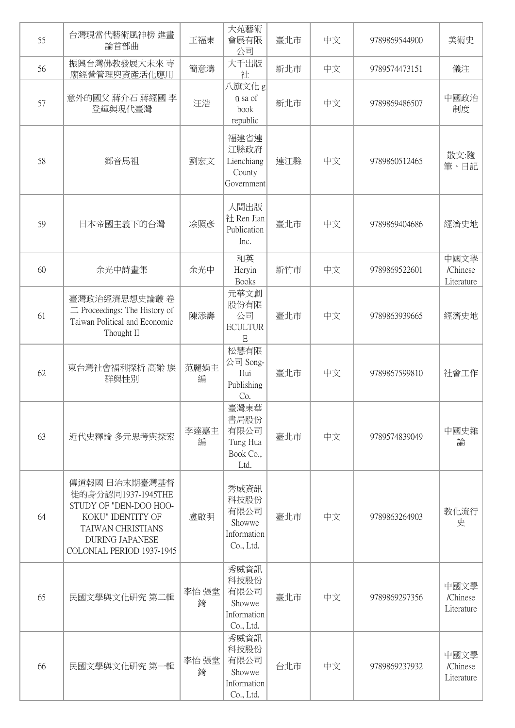| 55 | 台灣現當代藝術風神榜 進畫<br>論首部曲                                                                                                                                          | 王福東        | 大苑藝術<br>會展有限<br>公司                                         | 臺北市 | 中文 | 9789869544900 | 美術史                            |
|----|----------------------------------------------------------------------------------------------------------------------------------------------------------------|------------|------------------------------------------------------------|-----|----|---------------|--------------------------------|
| 56 | 振興台灣佛教發展大未來 寺<br>廟經營管理與資產活化應用                                                                                                                                  | 簡意濤        | 大千出版<br>社                                                  | 新北市 | 中文 | 9789574473151 | 儀注                             |
| 57 | 意外的國父 蔣介石 蔣經國 李<br>登輝與現代臺灣                                                                                                                                     | 汪浩         | 八旗文化 g<br>ū sa of<br>book<br>republic                      | 新北市 | 中文 | 9789869486507 | 中國政治<br>制度                     |
| 58 | 鄉音馬祖                                                                                                                                                           | 劉宏文        | 福建省連<br>江縣政府<br>Lienchiang<br>County<br>Government         | 連江縣 | 中文 | 9789860512465 | 散文:隨<br>筆、日記                   |
| 59 | 日本帝國主義下的台灣                                                                                                                                                     | 涂照彥        | 人間出版<br>社 Ren Jian<br>Publication<br>Inc.                  | 臺北市 | 中文 | 9789869404686 | 經濟史地                           |
| 60 | 余光中詩畫集                                                                                                                                                         | 余光中        | 和英<br>Heryin<br><b>Books</b>                               | 新竹市 | 中文 | 9789869522601 | 中國文學<br>/Chinese<br>Literature |
| 61 | 臺灣政治經濟思想史論叢卷<br>$\equiv$ Proceedings: The History of<br>Taiwan Political and Economic<br>Thought II                                                            | 陳添壽        | 元華文創<br>股份有限<br>公司<br><b>ECULTUR</b><br>E                  | 臺北市 | 中文 | 9789863939665 | 經濟史地                           |
| 62 | 東台灣社會福利探析 高齡 族<br>群與性別                                                                                                                                         | 范麗娟主<br>編  | 松慧有限<br>公司 Song-<br>Hui<br>Publishing<br>Co.               | 臺北市 | 中文 | 9789867599810 | 社會工作                           |
| 63 | 近代史釋論 多元思考與探索                                                                                                                                                  | 李達嘉主<br>編  | 臺灣東華<br>書局股份<br>有限公司<br>Tung Hua<br>Book Co.,<br>Ltd.      | 臺北市 | 中文 | 9789574839049 | 中國史雜<br>論                      |
| 64 | 傳道報國 日治末期臺灣基督<br>徒的身分認同1937-1945THE<br>STUDY OF "DEN-DOO HOO-<br>KOKU" IDENTITY OF<br>TAIWAN CHRISTIANS<br><b>DURING JAPANESE</b><br>COLONIAL PERIOD 1937-1945 | 盧啟明        | 秀威資訊<br>科技股份<br>有限公司<br>Showwe<br>Information<br>Co., Ltd. | 臺北市 | 中文 | 9789863264903 | 教化流行<br>史                      |
| 65 | 民國文學與文化研究 第二輯                                                                                                                                                  | 李怡 張堂<br>錡 | 秀威資訊<br>科技股份<br>有限公司<br>Showwe<br>Information<br>Co., Ltd. | 臺北市 | 中文 | 9789869297356 | 中國文學<br>/Chinese<br>Literature |
| 66 | 民國文學與文化研究 第一輯                                                                                                                                                  | 李怡張堂<br>錡  | 秀威資訊<br>科技股份<br>有限公司<br>Showwe<br>Information<br>Co., Ltd. | 台北市 | 中文 | 9789869237932 | 中國文學<br>/Chinese<br>Literature |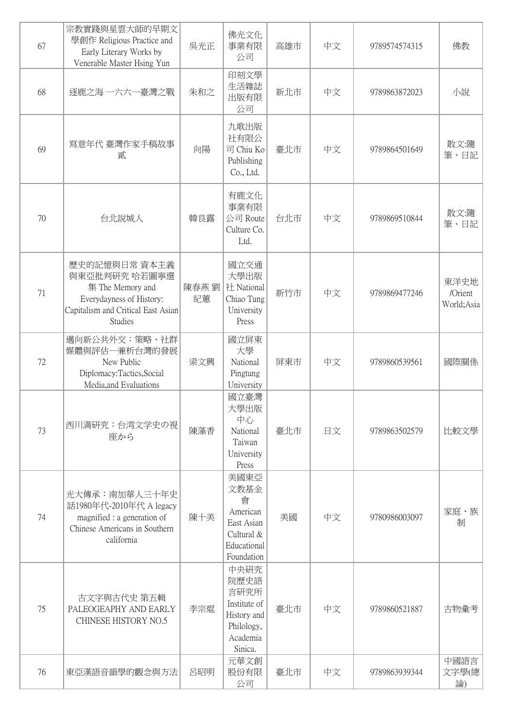| 67 | 宗教實踐與星雲大師的早期文<br>學創作 Religious Practice and<br>Early Literary Works by<br>Venerable Master Hsing Yun                                   | 吳光正        | 佛光文化<br>事業有限<br>公司                                                                       | 高雄市 | 中文 | 9789574574315 | 佛教                            |
|----|----------------------------------------------------------------------------------------------------------------------------------------|------------|------------------------------------------------------------------------------------------|-----|----|---------------|-------------------------------|
| 68 | 逐鹿之海 一六六一臺灣之戰                                                                                                                          | 朱和之        | 印刻文學<br>生活雜誌<br>出版有限<br>公司                                                               | 新北市 | 中文 | 9789863872023 | 小說                            |
| 69 | 寫意年代 臺灣作家手稿故事<br>貳                                                                                                                     | 向陽         | 九歌出版<br>社有限公<br>司 Chiu Ko<br>Publishing<br>Co., Ltd.                                     | 臺北市 | 中文 | 9789864501649 | 散文:隨<br>筆、日記                  |
| 70 | 台北說城人                                                                                                                                  | 韓良露        | 有鹿文化<br>事業有限<br>公司 Route<br>Culture Co.<br>Ltd.                                          | 台北市 | 中文 | 9789869510844 | 散文:隨<br>筆、日記                  |
| 71 | 歷史的記憶與日常 資本主義<br>與東亞批判研究 哈若圖寧選<br>集 The Memory and<br>Everydayness of History:<br>Capitalism and Critical East Asian<br><b>Studies</b> | 陳春燕劉<br>紀蕙 | 國立交通<br>大學出版<br>社 National<br>Chiao Tung<br>University<br>Press                          | 新竹市 | 中文 | 9789869477246 | 東洋史地<br>/Orient<br>World;Asia |
| 72 | 邁向新公共外交:策略、社群<br>媒體與評估-兼析台灣的發展<br>New Public<br>Diplomacy:Tactics,Social<br>Media, and Evaluations                                     | 梁文興        | 國立屏東<br>大學<br>National<br>Pingtung<br>University                                         | 屏東市 | 中文 | 9789860539561 | 國際關係                          |
| 73 | 西川満研究:台湾文学史の視<br>座から                                                                                                                   | 陳藻香        | 國立臺灣<br>大學出版<br>中心<br>National<br>Taiwan<br>University<br>Press                          | 臺北市 | 日文 | 9789863502579 | 比較文學                          |
| 74 | 光大傳承:南加華人三十年史<br>話1980年代-2010年代 A legacy<br>magnified : a generation of<br>Chinese Americans in Southern<br>california                 | 陳十美        | 美國東亞<br>文教基金<br>會<br>American<br>East Asian<br>Cultural &<br>Educational<br>Foundation   | 美國  | 中文 | 9780986003097 | 家庭、族<br>制                     |
| 75 | 古文字與古代史 第五輯<br>PALEOGEAPHY AND EARLY<br>CHINESE HISTORY NO.5                                                                           | 李宗焜        | 中央研究<br>院歷史語<br>言研究所<br>Institute of<br>History and<br>Philology,<br>Academia<br>Sinica. | 臺北市 | 中文 | 9789860521887 | 古物彙考                          |
| 76 | 東亞漢語音韻學的觀念與方法                                                                                                                          | 呂昭明        | 元華文創<br>股份有限<br>公司                                                                       | 臺北市 | 中文 | 9789863939344 | 中國語言<br>文字學(總<br>論)           |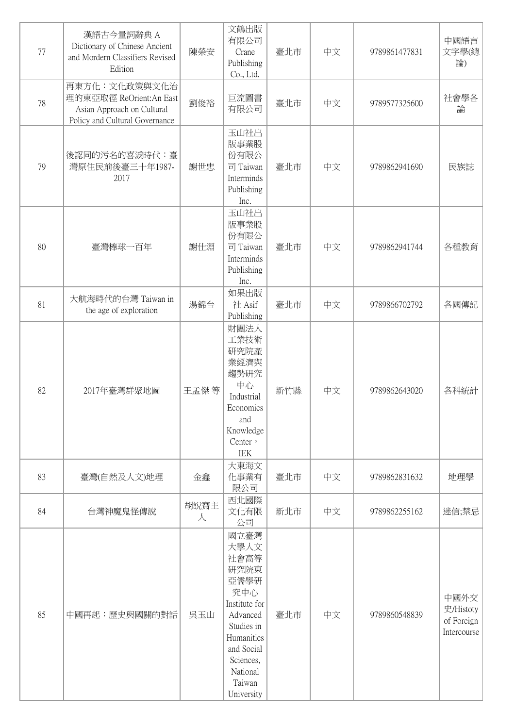| 77 | 漢語古今量詞辭典 A<br>Dictionary of Chinese Ancient<br>and Mordern Classifiers Revised<br>Edition                | 陳榮安       | 文鶴出版<br>有限公司<br>Crane<br>Publishing<br>Co., Ltd.                                                                                                                    | 臺北市 | 中文 | 9789861477831 | 中國語言<br>文字學(總<br>論)                            |
|----|----------------------------------------------------------------------------------------------------------|-----------|---------------------------------------------------------------------------------------------------------------------------------------------------------------------|-----|----|---------------|------------------------------------------------|
| 78 | 再東方化:文化政策與文化治<br>理的東亞取徑 ReOrient:An East<br>Asian Approach on Cultural<br>Policy and Cultural Governance | 劉俊裕       | 巨流圖書<br>有限公司                                                                                                                                                        | 臺北市 | 中文 | 9789577325600 | 社會學各<br>論                                      |
| 79 | 後認同的污名的喜淚時代:臺<br>灣原住民前後臺三十年1987-<br>2017                                                                 | 謝世忠       | 玉山社出<br>版事業股<br>份有限公<br>司 Taiwan<br>Interminds<br>Publishing<br>Inc.                                                                                                | 臺北市 | 中文 | 9789862941690 | 民族誌                                            |
| 80 | 臺灣棒球一百年                                                                                                  | 謝仕淵       | 玉山社出<br>版事業股<br>份有限公<br>司 Taiwan<br>Interminds<br>Publishing<br>Inc.                                                                                                | 臺北市 | 中文 | 9789862941744 | 各種教育                                           |
| 81 | 大航海時代的台灣 Taiwan in<br>the age of exploration                                                             | 湯錦台       | 如果出版<br>社Asif<br>Publishing                                                                                                                                         | 臺北市 | 中文 | 9789866702792 | 各國傳記                                           |
| 82 | 2017年臺灣群聚地圖                                                                                              | 王孟傑等      | 財團法人<br>工業技術<br>研究院產<br>業經濟與<br>趨勢研究<br>中心<br>Industrial<br>Economics<br>and<br>Knowledge<br>Center '<br>IEK                                                        | 新竹縣 | 中文 | 9789862643020 | 各科統計                                           |
| 83 | 臺灣(自然及人文)地理                                                                                              | 金鑫        | 大東海文<br>化事業有<br>限公司                                                                                                                                                 | 臺北市 | 中文 | 9789862831632 | 地理學                                            |
| 84 | 台灣神魔鬼怪傳說                                                                                                 | 胡說齋主<br>人 | 西北國際<br>文化有限<br>公司                                                                                                                                                  | 新北市 | 中文 | 9789862255162 | 迷信;禁忌                                          |
| 85 | 中國再起:歷史與國關的對話                                                                                            | 吳玉山       | 國立臺灣<br>大學人文<br>社會高等<br>研究院東<br>亞儒學研<br>究中心<br>Institute for<br>Advanced<br>Studies in<br>Humanities<br>and Social<br>Sciences,<br>National<br>Taiwan<br>University | 臺北市 | 中文 | 9789860548839 | 中國外交<br>史/Histoty<br>of Foreign<br>Intercourse |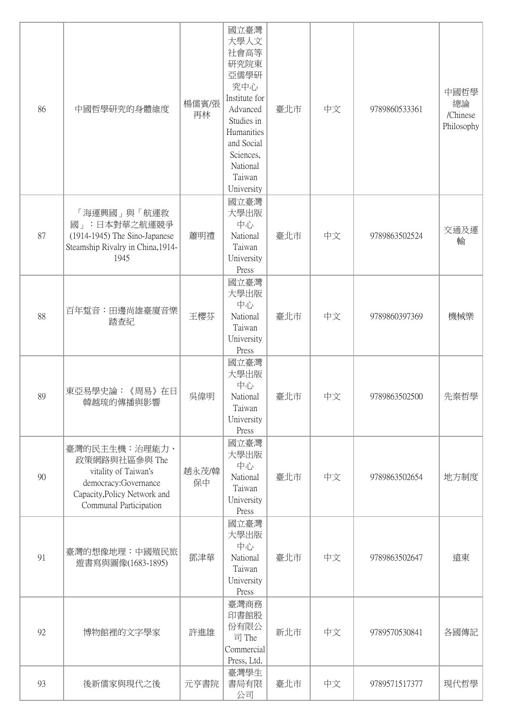| 86 | 中國哲學研究的身體維度                                                                                                                              | 楊儒賓/張<br>再林 | 國立臺灣<br>大學人文<br>社會高等<br>研究院東<br>亞儒學研<br>究中心<br>Institute for<br>Advanced<br>Studies in<br>Humanities<br>and Social<br>Sciences,<br>National<br>Taiwan<br>University | 臺北市 | 中文 | 9789860533361 | 中國哲學<br>總論<br>/Chinese<br>Philosophy |
|----|------------------------------------------------------------------------------------------------------------------------------------------|-------------|---------------------------------------------------------------------------------------------------------------------------------------------------------------------|-----|----|---------------|--------------------------------------|
| 87 | 「海運興國」與「航運救<br>國」:日本對華之航運競爭<br>$(1914-1945)$ The Sino-Japanese<br>Steamship Rivalry in China, 1914-<br>1945                              | 蕭明禮         | 國立臺灣<br>大學出版<br>中心<br>National<br>Taiwan<br>University<br>Press                                                                                                     | 臺北市 | 中文 | 9789863502524 | 交通及運<br>輸                            |
| 88 | 百年踅音:田邊尚雄臺廈音樂<br>踏査紀                                                                                                                     | 王櫻芬         | 國立臺灣<br>大學出版<br>中心<br>National<br>Taiwan<br>University<br>Press                                                                                                     | 臺北市 | 中文 | 9789860397369 | 機械樂                                  |
| 89 | 東亞易學史論:《周易》在日<br>韓越琉的傳播與影響                                                                                                               | 吳偉明         | 國立臺灣<br>大學出版<br>中心<br>National<br>Taiwan<br>University<br>Press                                                                                                     | 臺北市 | 中文 | 9789863502500 | 先秦哲學                                 |
| 90 | 臺灣的民主生機:治理能力、<br>政策網路與社區參與 The<br>vitality of Taiwan's<br>democracy:Governance<br>Capacity, Policy Network and<br>Communal Participation | 趙永茂/韓<br>保中 | 國立臺灣<br>大學出版<br>中心<br>National<br>Taiwan<br>University<br>Press                                                                                                     | 臺北市 | 中文 | 9789863502654 | 地方制度                                 |
| 91 | 臺灣的想像地理:中國殖民旅<br>遊書寫與圖像(1683-1895)                                                                                                       | 鄧津華         | 國立臺灣<br>大學出版<br>中心<br>National<br>Taiwan<br>University<br>Press                                                                                                     | 臺北市 | 中文 | 9789863502647 | 遠東                                   |
| 92 | 博物館裡的文字學家                                                                                                                                | 許進雄         | 臺灣商務<br>印書館股<br>份有限公<br>司 The<br>Commercial<br>Press, Ltd.                                                                                                          | 新北市 | 中文 | 9789570530841 | 各國傳記                                 |
| 93 | 後新儒家與現代之後                                                                                                                                | 元亨書院        | 臺灣學生<br>書局有限<br>公司                                                                                                                                                  | 臺北市 | 中文 | 9789571517377 | 現代哲學                                 |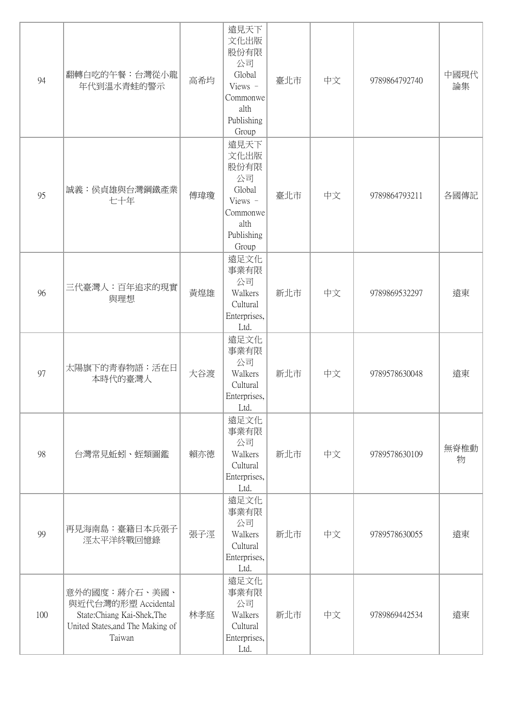| 94  | 翻轉白吃的午餐:台灣從小龍<br>年代到溫水青蛙的警示                                                                                     | 高希均 | 遠見天下<br>文化出版<br>股份有限<br>公司<br>Global<br>Views -<br>Commonwe<br>alth<br>Publishing<br>Group | 臺北市 | 中文 | 9789864792740 | 中國現代<br>論集 |
|-----|-----------------------------------------------------------------------------------------------------------------|-----|--------------------------------------------------------------------------------------------|-----|----|---------------|------------|
| 95  | 誠義:侯貞雄與台灣鋼鐵產業<br>七十年                                                                                            | 傅瑋瓊 | 遠見天下<br>文化出版<br>股份有限<br>公司<br>Global<br>Views -<br>Commonwe<br>alth<br>Publishing<br>Group | 臺北市 | 中文 | 9789864793211 | 各國傳記       |
| 96  | 三代臺灣人:百年追求的現實<br>與理想                                                                                            | 黃煌雄 | 遠足文化<br>事業有限<br>公司<br>Walkers<br>Cultural<br>Enterprises,<br>Ltd.                          | 新北市 | 中文 | 9789869532297 | 遠東         |
| 97  | 太陽旗下的靑春物語:活在日<br>本時代的臺灣人                                                                                        | 大谷渡 | 遠足文化<br>事業有限<br>公司<br>Walkers<br>Cultural<br>Enterprises,<br>Ltd.                          | 新北市 | 中文 | 9789578630048 | 遠東         |
| 98  | 台灣常見蚯蚓、蛭類圖鑑                                                                                                     | 賴亦德 | 遠足文化<br>事業有限<br>公司<br>Walkers<br>Cultural<br>Enterprises,<br>Ltd.                          | 新北市 | 中文 | 9789578630109 | 無脊椎動<br>物  |
| 99  | 再見海南島:臺籍日本兵張子<br>涇太平洋終戰回憶錄                                                                                      | 張子涇 | 遠足文化<br>事業有限<br>公司<br>Walkers<br>Cultural<br>Enterprises,<br>Ltd.                          | 新北市 | 中文 | 9789578630055 | 遠東         |
| 100 | 意外的國度:蔣介石、美國、<br>與近代台灣的形塑 Accidental<br>State:Chiang Kai-Shek,The<br>United States, and The Making of<br>Taiwan | 林孝庭 | 遠足文化<br>事業有限<br>公司<br>Walkers<br>Cultural<br>Enterprises,<br>Ltd.                          | 新北市 | 中文 | 9789869442534 | 遠東         |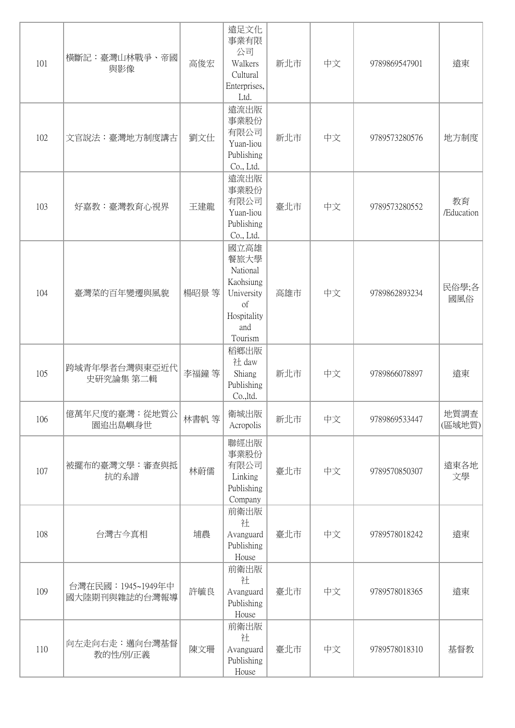| 101 | 横斷記:臺灣山林戰爭、帝國<br>與影像                | 高俊宏   | 遠足文化<br>事業有限<br>公司<br>Walkers<br>Cultural<br>Enterprises,<br>Ltd.                                     | 新北市 | 中文 | 9789869547901 | 遠東               |
|-----|-------------------------------------|-------|-------------------------------------------------------------------------------------------------------|-----|----|---------------|------------------|
| 102 | 文官說法:臺灣地方制度講古                       | 劉文仕   | 遠流出版<br>事業股份<br>有限公司<br>Yuan-liou<br>Publishing<br>Co., Ltd.                                          | 新北市 | 中文 | 9789573280576 | 地方制度             |
| 103 | 好嘉教:臺灣教育心視界                         | 王建龍   | 遠流出版<br>事業股份<br>有限公司<br>Yuan-liou<br>Publishing<br>Co., Ltd.                                          | 臺北市 | 中文 | 9789573280552 | 教育<br>/Education |
| 104 | 臺灣菜的百年變遷與風貌                         | 楊昭景 等 | 國立高雄<br>餐旅大學<br>National<br>Kaohsiung<br>University<br><sub>of</sub><br>Hospitality<br>and<br>Tourism | 高雄市 | 中文 | 9789862893234 | 民俗學;各<br>國風俗     |
| 105 | 跨域青年學者台灣與東亞近代<br>史研究論集 第二輯          | 李福鐘 等 | 稻鄉出版<br>社 daw<br>Shiang<br>Publishing<br>Co.,ltd.                                                     | 新北市 | 中文 | 9789866078897 | 遠東               |
| 106 | 億萬年尺度的臺灣:從地質公<br>園追出島嶼身世            | 林書帆 等 | 衛城出版<br>Acropolis                                                                                     | 新北市 | 中文 | 9789869533447 | 地質調查<br>(區域地質)   |
| 107 | 被擺布的臺灣文學:審查與抵<br>抗的系譜               | 林蔚儒   | 聯經出版<br>事業股份<br>有限公司<br>Linking<br>Publishing<br>Company                                              | 臺北市 | 中文 | 9789570850307 | 遠東各地<br>文學       |
| 108 | 台灣古今真相                              | 埔農    | 前衛出版<br>社<br>Avanguard<br>Publishing<br>House                                                         | 臺北市 | 中文 | 9789578018242 | 遠東               |
| 109 | 台灣在民國: 1945~1949年中<br>國大陸期刊與雜誌的台灣報導 | 許毓良   | 前衛出版<br>社<br>Avanguard<br>Publishing<br>House                                                         | 臺北市 | 中文 | 9789578018365 | 遠東               |
| 110 | 向左走向右走:邁向台灣基督<br>教的性/別/正義           | 陳文珊   | 前衛出版<br>社<br>Avanguard<br>Publishing<br>House                                                         | 臺北市 | 中文 | 9789578018310 | 基督教              |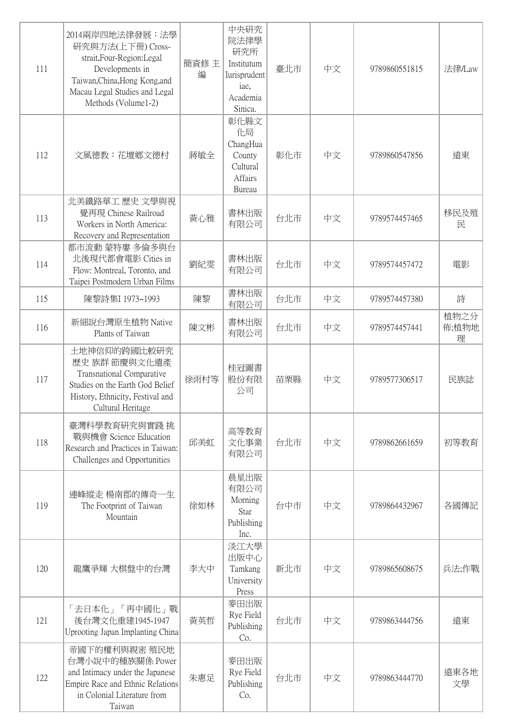| 111 | 2014兩岸四地法律發展:法學<br>研究與方法(上下冊) Cross-<br>strait, Four-Region: Legal<br>Developments in<br>Taiwan, China, Hong Kong, and<br>Macau Legal Studies and Legal<br>Methods (Volume1-2) | 簡資修主<br>編 | 中央研究<br>院法律學<br>研究所<br>Institutum<br>Iurisprudent<br>iae,<br>Academia<br>Sinica. | 臺北市 | 中文 | 9789860551815 | 法律/Law             |
|-----|--------------------------------------------------------------------------------------------------------------------------------------------------------------------------------|-----------|----------------------------------------------------------------------------------|-----|----|---------------|--------------------|
| 112 | 文風德教:花壇鄉文德村                                                                                                                                                                    | 蔣敏全       | 彰化縣文<br>化局<br>ChangHua<br>County<br>Cultural<br>Affairs<br><b>Bureau</b>         | 彰化市 | 中文 | 9789860547856 | 遠東                 |
| 113 | 北美鐵路華工 歷史 文學與視<br>覺再現 Chinese Railroad<br>Workers in North America:<br>Recovery and Representation                                                                             | 黃心雅       | 書林出版<br>有限公司                                                                     | 台北市 | 中文 | 9789574457465 | 移民及殖<br>民          |
| 114 | 都市流動 蒙特婁 多倫多與台<br>北後現代都會電影 Cities in<br>Flow: Montreal, Toronto, and<br>Taipei Postmodern Urban Films                                                                          | 劉紀雯       | 書林出版<br>有限公司                                                                     | 台北市 | 中文 | 9789574457472 | 電影                 |
| 115 | 陳黎詩集I 1973~1993                                                                                                                                                                | 陳黎        | 書林出版<br>有限公司                                                                     | 台北市 | 中文 | 9789574457380 | 詩                  |
| 116 | 新細說台灣原生植物 Native<br>Plants of Taiwan                                                                                                                                           | 陳文彬       | 書林出版<br>有限公司                                                                     | 台北市 | 中文 | 9789574457441 | 植物之分<br>佈;植物地<br>理 |
| 117 | 土地神信仰的跨國比較研究<br>歷史 族群 節慶與文化遺產<br>Transnational Comparative<br>Studies on the Earth God Belief<br>History, Ethnicity, Festival and<br>Cultural Heritage                         | 徐雨村等      | 桂冠圖書<br>股份有限<br>公司                                                               | 苗栗縣 | 中文 | 9789577306517 | 民族誌                |
| 118 | 臺灣科學教育研究與實踐 挑<br>戰與機會 Science Education<br>Research and Practices in Taiwan:<br>Challenges and Opportunities                                                                   | 邱美虹       | 高等教育<br>文化事業<br>有限公司                                                             | 台北市 | 中文 | 9789862661659 | 初等教育               |
| 119 | 連峰縱走 楊南郡的傳奇一生<br>The Footprint of Taiwan<br>Mountain                                                                                                                           | 徐如林       | 晨星出版<br>有限公司<br>Morning<br>Star<br>Publishing<br>Inc.                            | 台中市 | 中文 | 9789864432967 | 各國傳記               |
| 120 | 龍鷹爭輝 大棋盤中的台灣                                                                                                                                                                   | 李大中       | 淡江大學<br>出版中心<br>Tamkang<br>University<br>Press                                   | 新北市 | 中文 | 9789865608675 | 兵法;作戰              |
| 121 | 「去日本化」「再中國化」戰<br>後台灣文化重建1945-1947<br>Uprooting Japan Implanting China                                                                                                          | 黃英哲       | 麥田出版<br>Rye Field<br>Publishing<br>Co.                                           | 台北市 | 中文 | 9789863444756 | 遠東                 |
| 122 | 帝國下的權利與親密 殖民地<br>台灣小說中的種族關係 Power<br>and Intimacy under the Japanese<br>Empire Race and Ethnic Relations<br>in Colonial Literature from<br>Taiwan                              | 朱惠足       | 麥田出版<br>Rye Field<br>Publishing<br>Co.                                           | 台北市 | 中文 | 9789863444770 | 遠東各地<br>文學         |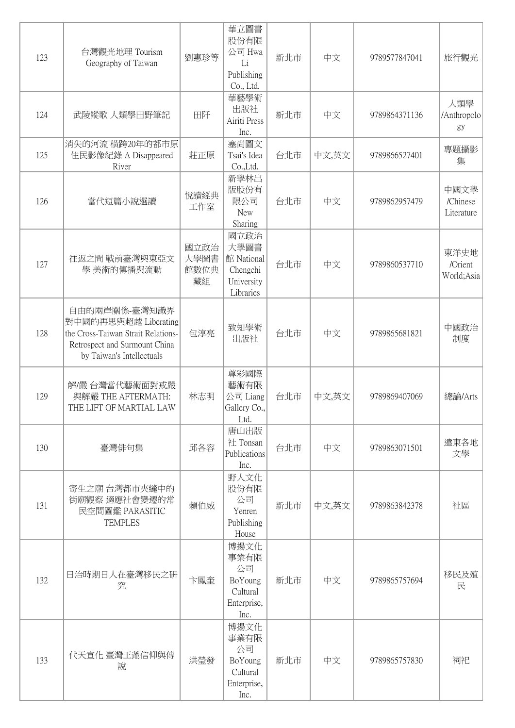| 123 | 台灣觀光地理 Tourism<br>Geography of Taiwan                                                                                                     | 劉惠珍等                       | 華立圖書<br>股份有限<br>公司 Hwa<br>Li<br>Publishing<br>Co., Ltd.           | 新北市 | 中文    | 9789577847041 | 旅行觀光                           |
|-----|-------------------------------------------------------------------------------------------------------------------------------------------|----------------------------|-------------------------------------------------------------------|-----|-------|---------------|--------------------------------|
| 124 | 武陵縱歌 人類學田野筆記                                                                                                                              | 田阡                         | 華藝學術<br>出版社<br>Airiti Press<br>Inc.                               | 新北市 | 中文    | 9789864371136 | 人類學<br>/Anthropolo<br>gy       |
| 125 | 消失的河流 横跨20年的都市原<br>住民影像紀錄 A Disappeared<br>River                                                                                          | 莊正原                        | 塞尚圖文<br>Tsai's Idea<br>Co.,Ltd.                                   | 台北市 | 中文,英文 | 9789866527401 | 專題攝影<br>集                      |
| 126 | 當代短篇小說選讀                                                                                                                                  | 悅讀經典<br>工作室                | 新學林出<br>版股份有<br>限公司<br><b>New</b><br>Sharing                      | 台北市 | 中文    | 9789862957479 | 中國文學<br>/Chinese<br>Literature |
| 127 | 往返之間 戰前臺灣與東亞文<br>學 美術的傳播與流動                                                                                                               | 國立政治<br>大學圖書<br>館數位典<br>藏組 | 國立政治<br>大學圖書<br>館 National<br>Chengchi<br>University<br>Libraries | 台北市 | 中文    | 9789860537710 | 東洋史地<br>/Orient<br>World; Asia |
| 128 | 自由的兩岸關係-臺灣知識界<br>對中國的再思與超越 Liberating<br>the Cross-Taiwan Strait Relations-<br>Retrospect and Surmount China<br>by Taiwan's Intellectuals | 包淳亮                        | 致知學術<br>出版社                                                       | 台北市 | 中文    | 9789865681821 | 中國政治<br>制度                     |
| 129 | 解/嚴 台灣當代藝術面對戒嚴<br>與解嚴 THE AFTERMATH:<br>THE LIFT OF MARTIAL LAW                                                                           | 林志明                        | 尊彩國際<br>藝術有限<br>公司 Liang<br>Gallery Co.,<br>Ltd.                  | 台北市 | 中文,英文 | 9789869407069 | 總論/Arts                        |
| 130 | 臺灣俳句集                                                                                                                                     | 邱各容                        | 唐山出版<br>社 Tonsan<br>Publications<br>Inc.                          | 台北市 | 中文    | 9789863071501 | 遠東各地<br>文學                     |
| 131 | 寄生之廟 台灣都市夾縫中的<br>街廟觀察 適應社會變遷的常<br>民空間圖鑑 PARASITIC<br><b>TEMPLES</b>                                                                       | 賴伯威                        | 野人文化<br>股份有限<br>公司<br>Yenren<br>Publishing<br>House               | 新北市 | 中文,英文 | 9789863842378 | 社區                             |
| 132 | 日治時期日人在臺灣移民之研<br>究                                                                                                                        | 卞鳳奎                        | 博揚文化<br>事業有限<br>公司<br>BoYoung<br>Cultural<br>Enterprise,<br>Inc.  | 新北市 | 中文    | 9789865757694 | 移民及殖<br>民                      |
| 133 | 代天宣化 臺灣王爺信仰與傳<br>說                                                                                                                        | 洪瑩發                        | 博揚文化<br>事業有限<br>公司<br>BoYoung<br>Cultural<br>Enterprise,<br>Inc.  | 新北市 | 中文    | 9789865757830 | 祠祀                             |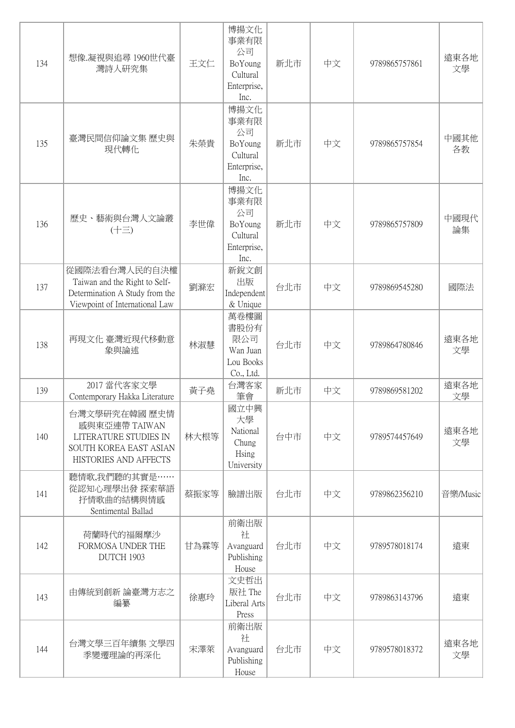| 134 | 想像.凝視與追尋 1960世代臺<br>灣詩人研究集                                                                                         | 王文仁  | 博揚文化<br>事業有限<br>公司<br>BoYoung<br>Cultural<br>Enterprise,<br>Inc. | 新北市 | 中文 | 9789865757861 | 遠東各地<br>文學 |
|-----|--------------------------------------------------------------------------------------------------------------------|------|------------------------------------------------------------------|-----|----|---------------|------------|
| 135 | 臺灣民間信仰論文集 歷史與<br>現代轉化                                                                                              | 朱榮貴  | 博揚文化<br>事業有限<br>公司<br>BoYoung<br>Cultural<br>Enterprise,<br>Inc. | 新北市 | 中文 | 9789865757854 | 中國其他<br>各教 |
| 136 | 歷史、藝術與台灣人文論叢<br>$(\pm \equiv)$                                                                                     | 李世偉  | 博揚文化<br>事業有限<br>公司<br>BoYoung<br>Cultural<br>Enterprise,<br>Inc. | 新北市 | 中文 | 9789865757809 | 中國現代<br>論集 |
| 137 | 從國際法看台灣人民的自決權<br>Taiwan and the Right to Self-<br>Determination A Study from the<br>Viewpoint of International Law | 劉滌宏  | 新銳文創<br>出版<br>Independent<br>& Unique                            | 台北市 | 中文 | 9789869545280 | 國際法        |
| 138 | 再現文化 臺灣近現代移動意<br>象與論述                                                                                              | 林淑慧  | 萬卷樓圖<br>書股份有<br>限公司<br>Wan Juan<br>Lou Books<br>Co., Ltd.        | 台北市 | 中文 | 9789864780846 | 遠東各地<br>文學 |
| 139 | 2017 當代客家文學<br>Contemporary Hakka Literature                                                                       | 黃子堯  | 台灣客家<br>筆會                                                       | 新北市 | 中文 | 9789869581202 | 遠東各地<br>文學 |
| 140 | 台灣文學研究在韓國 歷史情<br>感與東亞連帶 TAIWAN<br>LITERATURE STUDIES IN<br><b>SOUTH KOREA EAST ASIAN</b><br>HISTORIES AND AFFECTS  | 林大根等 | 國立中興<br>大學<br>National<br>Chung<br>Hsing<br>University           | 台中市 | 中文 | 9789574457649 | 遠東各地<br>文學 |
| 141 | 聽情歌,我們聽的其實是……<br>從認知心理學出發 探索華語<br>抒情歌曲的結構與情感<br>Sentimental Ballad                                                 | 蔡振家等 | 臉譜出版                                                             | 台北市 | 中文 | 9789862356210 | 音樂/Music   |
| 142 | 荷蘭時代的福爾摩沙<br>FORMOSA UNDER THE<br>DUTCH 1903                                                                       | 甘為霖等 | 前衛出版<br>社<br>Avanguard<br>Publishing<br>House                    | 台北市 | 中文 | 9789578018174 | 遠東         |
| 143 | 由傳統到創新 論臺灣方志之<br>編纂                                                                                                | 徐惠玲  | 文史哲出<br>版社 The<br>Liberal Arts<br>Press                          | 台北市 | 中文 | 9789863143796 | 遠東         |
| 144 | 台灣文學三百年續集 文學四<br>季變遷理論的再深化                                                                                         | 宋澤萊  | 前衛出版<br>社<br>Avanguard<br>Publishing<br>House                    | 台北市 | 中文 | 9789578018372 | 遠東各地<br>文學 |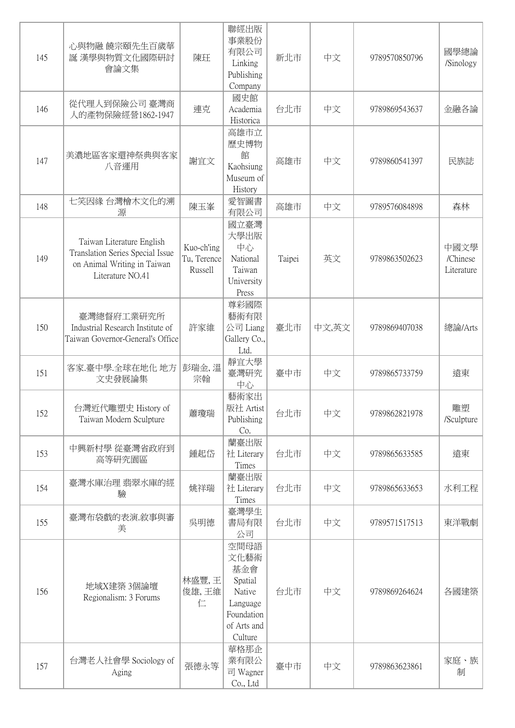| 145 | 心與物融 饒宗頤先生百歲華<br>誕 漢學與物質文化國際研討<br>會論文集                                                                           | 陳玨                                   | 聯經出版<br>事業股份<br>有限公司<br>Linking<br>Publishing<br>Company                                     | 新北市    | 中文    | 9789570850796 | 國學總論<br>/Sinology              |
|-----|------------------------------------------------------------------------------------------------------------------|--------------------------------------|----------------------------------------------------------------------------------------------|--------|-------|---------------|--------------------------------|
| 146 | 從代理人到保險公司 臺灣商<br>人的產物保險經營1862-1947                                                                               | 連克                                   | 國史館<br>Academia<br>Historica                                                                 | 台北市    | 中文    | 9789869543637 | 金融各論                           |
| 147 | 美濃地區客家還神祭典與客家<br>八音運用                                                                                            | 謝宜文                                  | 高雄市立<br>歷史博物<br>館<br>Kaohsiung<br>Museum of<br>History                                       | 高雄市    | 中文    | 9789860541397 | 民族誌                            |
| 148 | 七笑因緣 台灣檜木文化的溯<br>源                                                                                               | 陳玉峯                                  | 愛智圖書<br>有限公司                                                                                 | 高雄市    | 中文    | 9789576084898 | 森林                             |
| 149 | Taiwan Literature English<br>Translation Series Special Issue<br>on Animal Writing in Taiwan<br>Literature NO.41 | Kuo-ch'ing<br>Tu, Terence<br>Russell | 國立臺灣<br>大學出版<br>中心<br>National<br>Taiwan<br>University<br>Press                              | Taipei | 英文    | 9789863502623 | 中國文學<br>/Chinese<br>Literature |
| 150 | 臺灣總督府工業研究所<br>Industrial Research Institute of<br>Taiwan Governor-General's Office                               | 許家維                                  | 尊彩國際<br>藝術有限<br>公司 Liang<br>Gallery Co.,<br>Ltd.                                             | 臺北市    | 中文,英文 | 9789869407038 | 總論/Arts                        |
| 151 | 客家.臺中學.全球在地化 地方<br>文史發展論集                                                                                        | 彭瑞金,溫<br>宗翰                          | 靜宜大學<br>臺灣研究<br>中心                                                                           | 臺中市    | 中文    | 9789865733759 | 遠東                             |
| 152 | 台灣近代雕塑史 History of<br>Taiwan Modern Sculpture                                                                    | 蕭瓊瑞                                  | 藝術家出<br>版社 Artist<br>Publishing<br>Co.                                                       | 台北市    | 中文    | 9789862821978 | 雕塑<br>/Sculpture               |
| 153 | 中興新村學 從臺灣省政府到<br>高等研究園區                                                                                          | 鍾起岱                                  | 蘭臺出版<br>社 Literary<br>Times                                                                  | 台北市    | 中文    | 9789865633585 | 遠東                             |
| 154 | 臺灣水庫治理 翡翠水庫的經<br>驗                                                                                               | 姚祥瑞                                  | 蘭臺出版<br>社 Literary<br>Times                                                                  | 台北市    | 中文    | 9789865633653 | 水利工程                           |
| 155 | 臺灣布袋戲的表演.敘事與審<br>美                                                                                               | 吳明德                                  | 臺灣學生<br>書局有限<br>公司                                                                           | 台北市    | 中文    | 9789571517513 | 東洋戰劇                           |
| 156 | 地域X建築 3個論壇<br>Regionalism: 3 Forums                                                                              | 林盛豐,王<br>俊雄,王維<br>仁                  | 空間母語<br>文化藝術<br>基金會<br>Spatial<br>Native<br>Language<br>Foundation<br>of Arts and<br>Culture | 台北市    | 中文    | 9789869264624 | 各國建築                           |
| 157 | 台灣老人社會學 Sociology of<br>Aging                                                                                    | 張德永等                                 | 華格那企<br>業有限公<br>司 Wagner<br>Co., Ltd                                                         | 臺中市    | 中文    | 9789863623861 | 家庭、族<br>制                      |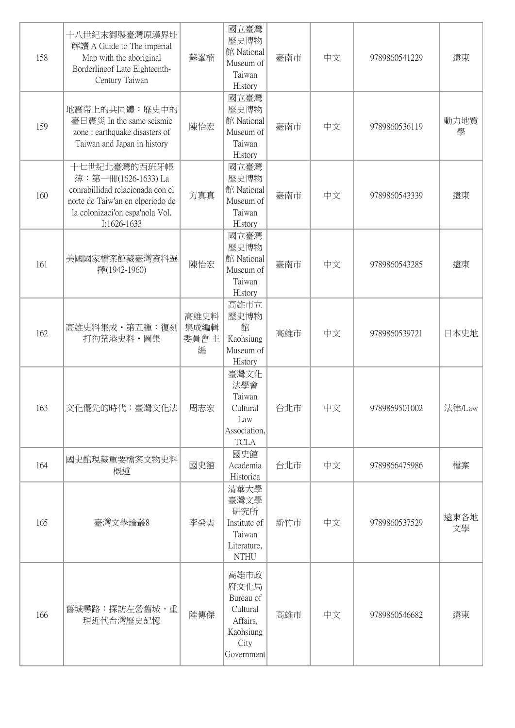| 158 | 十八世紀末御製臺灣原漢界址<br>解讀 A Guide to The imperial<br>Map with the aboriginal<br>Borderlineof Late Eighteenth-<br>Century Taiwan                                     | 蘇峯楠                       | 國立臺灣<br>歷史博物<br>館 National<br>Museum of<br>Taiwan<br>History                         | 臺南市 | 中文 | 9789860541229 | 遠東         |
|-----|---------------------------------------------------------------------------------------------------------------------------------------------------------------|---------------------------|--------------------------------------------------------------------------------------|-----|----|---------------|------------|
| 159 | 地震帶上的共同體:歷史中的<br>臺日震災 In the same seismic<br>zone: earthquake disasters of<br>Taiwan and Japan in history                                                     | 陳怡宏                       | 國立臺灣<br>歷史博物<br>館 National<br>Museum of<br>Taiwan<br>History                         | 臺南市 | 中文 | 9789860536119 | 動力地質<br>學  |
| 160 | 十七世紀北臺灣的西班牙帳<br>簿:第一冊(1626-1633) La<br>conrabillidad relacionada con el<br>norte de Taiw'an en elperiodo de<br>la colonizaci'on espa'nola Vol.<br>I:1626-1633 | 方真真                       | 國立臺灣<br>歷史博物<br>館 National<br>Museum of<br>Taiwan<br>History                         | 臺南市 | 中文 | 9789860543339 | 遠東         |
| 161 | 美國國家檔案館藏臺灣資料選<br>擇(1942-1960)                                                                                                                                 | 陳怡宏                       | 國立臺灣<br>歷史博物<br>館 National<br>Museum of<br>Taiwan<br>History                         | 臺南市 | 中文 | 9789860543285 | 遠東         |
| 162 | 高雄史料集成·第五種:復刻<br>打狗築港史料·圖集                                                                                                                                    | 高雄史料<br>集成編輯<br>委員會主<br>編 | 高雄市立<br>歷史博物<br>館<br>Kaohsiung<br>Museum of<br>History                               | 高雄市 | 中文 | 9789860539721 | 日本史地       |
| 163 | 文化優先的時代:臺灣文化法                                                                                                                                                 | 周志宏                       | 臺灣文化<br>法學會<br>Taiwan<br>Cultural<br>Law<br>Association,<br><b>TCLA</b>              | 台北市 | 中文 | 9789869501002 | 法律/Law     |
| 164 | 國史館現藏重要檔案文物史料<br>概述                                                                                                                                           | 國史館                       | 國史館<br>Academia<br>Historica                                                         | 台北市 | 中文 | 9789866475986 | 檔案         |
| 165 | 臺灣文學論叢8                                                                                                                                                       | 李癸雲                       | 清華大學<br>臺灣文學<br>研究所<br>Institute of<br>Taiwan<br>Literature,<br><b>NTHU</b>          | 新竹市 | 中文 | 9789860537529 | 遠東各地<br>文學 |
| 166 | 舊城尋路:探訪左營舊城,重<br>現近代台灣歷史記憶                                                                                                                                    | 陸傳傑                       | 高雄市政<br>府文化局<br>Bureau of<br>Cultural<br>Affairs,<br>Kaohsiung<br>City<br>Government | 高雄市 | 中文 | 9789860546682 | 遠東         |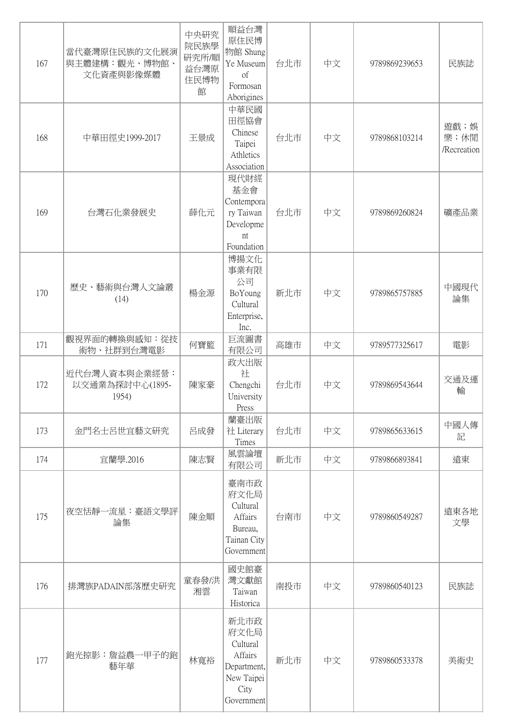| 167 | 當代臺灣原住民族的文化展演<br>與主體建構:觀光、博物館、<br>文化資產與影像媒體 | 中央研究<br>院民族學<br>研究所/順<br>益台灣原<br>住民博物<br>館 | 順益台灣<br>原住民博<br>物館 Shung<br>Ye Museum<br><sub>of</sub><br>Formosan<br>Aborigines       | 台北市 | 中文 | 9789869239653 | 民族誌                         |
|-----|---------------------------------------------|--------------------------------------------|----------------------------------------------------------------------------------------|-----|----|---------------|-----------------------------|
| 168 | 中華田徑史1999-2017                              | 王景成                                        | 中華民國<br>田徑協會<br>Chinese<br>Taipei<br>Athletics<br>Association                          | 台北市 | 中文 | 9789868103214 | 遊戲;娛<br>樂;休閒<br>/Recreation |
| 169 | 台灣石化業發展史                                    | 薛化元                                        | 現代財經<br>基金會<br>Contempora<br>ry Taiwan<br>Developme<br>nt<br>Foundation                | 台北市 | 中文 | 9789869260824 | 礦產品業                        |
| 170 | 歷史、藝術與台灣人文論叢<br>(14)                        | 楊金源                                        | 博揚文化<br>事業有限<br>公司<br>BoYoung<br>Cultural<br>Enterprise,<br>Inc.                       | 新北市 | 中文 | 9789865757885 | 中國現代<br>論集                  |
| 171 | 觀視界面的轉換與感知:從技<br>術物、社群到台灣電影                 | 何寶籃                                        | 巨流圖書<br>有限公司                                                                           | 高雄市 | 中文 | 9789577325617 | 電影                          |
| 172 | 近代台灣人資本與企業經營:<br>以交通業為探討中心(1895-<br>1954)   | 陳家豪                                        | 政大出版<br>社<br>Chengchi<br>University<br>Press                                           | 台北市 | 中文 | 9789869543644 | 交通及運<br>輸                   |
| 173 | 金門名士呂世宜藝文研究                                 | 呂成發                                        | 蘭臺出版<br>社 Literary<br>Times                                                            | 台北市 | 中文 | 9789865633615 | 中國人傳<br>記                   |
| 174 | 宜蘭學.2016                                    | 陳志賢                                        | 風雲論壇<br>有限公司                                                                           | 新北市 | 中文 | 9789866893841 | 遠東                          |
| 175 | 夜空恬靜一流星:臺語文學評<br>論集                         | 陳金順                                        | 臺南市政<br>府文化局<br>Cultural<br>Affairs<br>Bureau,<br>Tainan City<br>Government            | 台南市 | 中文 | 9789860549287 | 遠東各地<br>文學                  |
| 176 | 排灣族PADAIN部落歷史研究                             | 童春發/洪<br>湘雲                                | 國史館臺<br>灣文獻館<br>Taiwan<br>Historica                                                    | 南投市 | 中文 | 9789860540123 | 民族誌                         |
| 177 | 鉋光掠影:詹益農一甲子的鉋<br>藝年華                        | 林寬裕                                        | 新北市政<br>府文化局<br>Cultural<br>Affairs<br>Department,<br>New Taipei<br>City<br>Government | 新北市 | 中文 | 9789860533378 | 美術史                         |